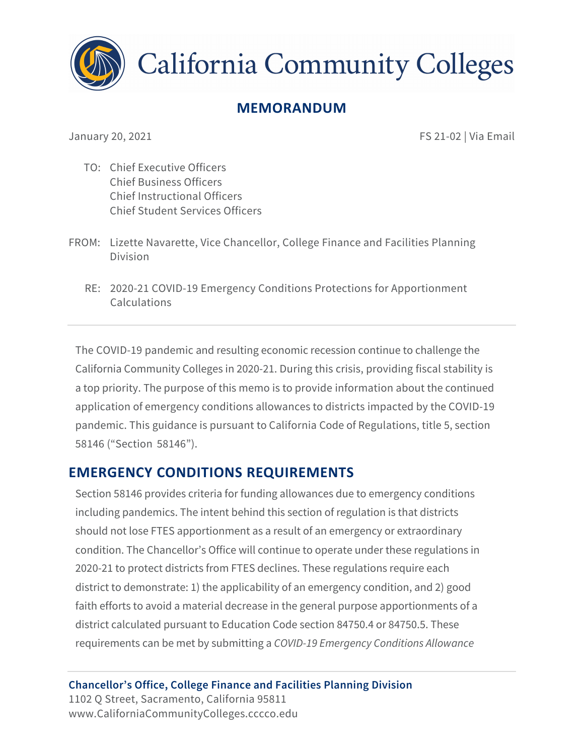

**California Community Colleges** 

# **MEMORANDUM**

January 20, 2021

FS 21-02 | Via Email

- TO: Chief Executive Officers Chief Business Officers Chief Instructional Officers Chief Student Services Officers
- FROM: Lizette Navarette, Vice Chancellor, College Finance and Facilities Planning Division
	- RE: 2020-21 COVID-19 Emergency Conditions Protections for Apportionment Calculations

The COVID-19 pandemic and resulting economic recession continue to challenge the California Community Colleges in 2020-21. During this crisis, providing fiscal stability is a top priority. The purpose of this memo is to provide information about the continued application of emergency conditions allowances to districts impacted by the COVID-19 pandemic. This guidance is pursuant to California Code of Regulations, title 5, section 58146 ("Section 58146").

## **EMERGENCY CONDITIONS REQUIREMENTS**

Section 58146 provides criteria for funding allowances due to emergency conditions including pandemics. The intent behind this section of regulation is that districts should not lose FTES apportionment as a result of an emergency or extraordinary condition. The Chancellor's Office will continue to operate under these regulations in 2020-21 to protect districts from FTES declines. These regulations require each district to demonstrate: 1) the applicability of an emergency condition, and 2) good faith efforts to avoid a material decrease in the general purpose apportionments of a district calculated pursuant to Education Code section 84750.4 or 84750.5. These requirements can be met by submitting a *COVID-19 Emergency Conditions Allowance*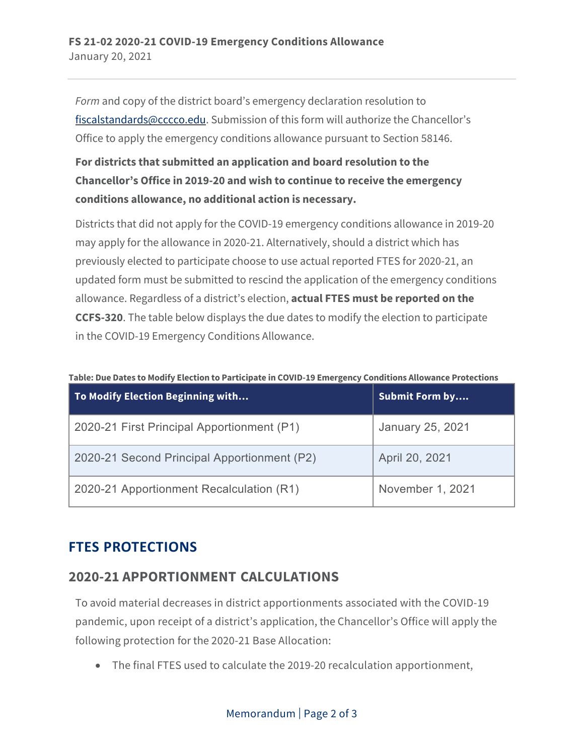*Form* and copy of the district board's emergency declaration resolution to [fiscalstandards@cccco.edu](mailto:fiscalstandards@cccco.edu). Submission of this form will authorize the Chancellor's Office to apply the emergency conditions allowance pursuant to Section 58146.

### **For districts that submitted an application and board resolution to the Chancellor's Office in 2019-20 and wish to continue to receive the emergency conditions allowance, no additional action is necessary.**

Districts that did not apply for the COVID-19 emergency conditions allowance in 2019-20 may apply for the allowance in 2020-21. Alternatively, should a district which has previously elected to participate choose to use actual reported FTES for 2020-21, an updated form must be submitted to rescind the application of the emergency conditions allowance. Regardless of a district's election, **actual FTES must be reported on the CCFS-320**. The table below displays the due dates to modify the election to participate in the COVID-19 Emergency Conditions Allowance.

|  | Table: Due Dates to Modify Election to Participate in COVID-19 Emergency Conditions Allowance Protections |
|--|-----------------------------------------------------------------------------------------------------------|
|  |                                                                                                           |

| To Modify Election Beginning with           | <b>Submit Form by</b>   |
|---------------------------------------------|-------------------------|
| 2020-21 First Principal Apportionment (P1)  | <b>January 25, 2021</b> |
| 2020-21 Second Principal Apportionment (P2) | April 20, 2021          |
| 2020-21 Apportionment Recalculation (R1)    | November 1, 2021        |

## **FTES PROTECTIONS**

#### **2020-21 APPORTIONMENT CALCULATIONS**

To avoid material decreases in district apportionments associated with the COVID-19 pandemic, upon receipt of a district's application, the Chancellor's Office will apply the following protection for the 2020-21 Base Allocation:

• The final FTES used to calculate the 2019-20 recalculation apportionment,